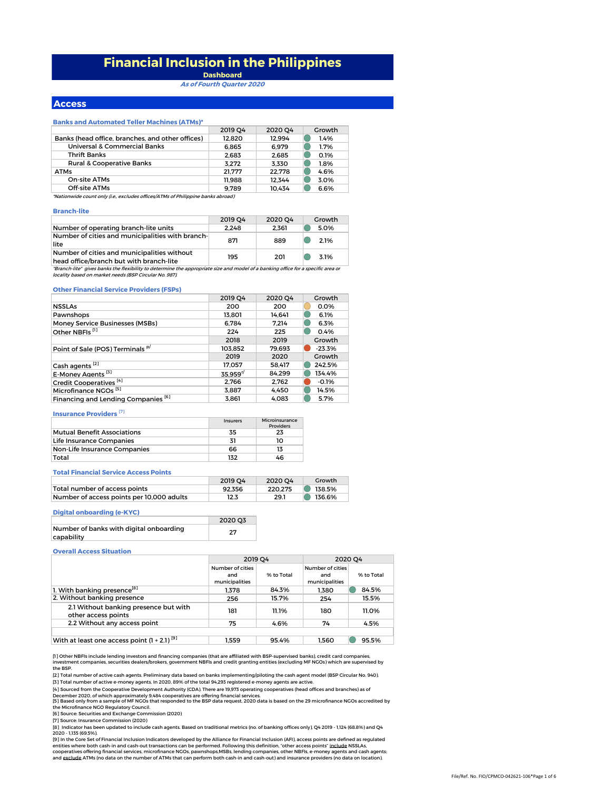# **Financial Inclusion in the Philippines**

**Dashboard As of Fourth Quarter 2020**

### **Access**

#### **Banks and Automated Teller Machines (ATMs)\***

| 2019 04 | 2020 04 | Growth |
|---------|---------|--------|
| 12.820  | 12.994  | 1.4%   |
| 6.865   | 6.979   | 1.7%   |
| 2.683   | 2.685   | 0.1%   |
| 3.272   | 3.330   | 1.8%   |
| 21.777  | 22.778  | 4.6%   |
| 11.988  | 12.344  | 3.0%   |
| 9.789   | 10.434  | 6.6%   |
|         |         |        |

\*Nationwide count only (i.e., excludes offices/ATMs of Philippine banks abroad)

#### **Branch-lite**

|                                                                                                                                    | 2019 04 | 2020 O4 | Growth |
|------------------------------------------------------------------------------------------------------------------------------------|---------|---------|--------|
| Number of operating branch-lite units                                                                                              | 2.248   | 2.361   | 5.0%   |
| Number of cities and municipalities with branch-<br>lite                                                                           | 871     | 889     | 2.1%   |
| Number of cities and municipalities without<br>head office/branch but with branch-lite                                             | 195     | 201     | 3.1%   |
| "Deanah lita", siyaa banlo tha flavihility ta datamaina tha annuanyiata siya and madal af a banloing affica for a snaoifig ayaa ay |         |         |        |

"Branch-lite" gives banks the flexibility to determine the appropriate size and model of a banking office for a specific area or locality based on market needs (BSP Circular No. 987).

#### **Other Financial Service Providers (FSPs)**

|                                                | <b>2019 O4</b> | 2020 O4 | Growth   |
|------------------------------------------------|----------------|---------|----------|
| <b>NSSLAs</b>                                  | 200            | 200     | 0.0%     |
| Pawnshops                                      | 13.801         | 14.641  | 6.1%     |
| Money Service Businesses (MSBs)                | 6.784          | 7.214   | 6.3%     |
| Other NBFIs <sup>[1]</sup>                     | 224            | 225     | 0.4%     |
|                                                | 2018           | 2019    | Growth   |
| Point of Sale (POS) Terminals <sup>p/</sup>    | 103.852        | 79.693  | $-23.3%$ |
|                                                | 2019           | 2020    | Growth   |
| Cash agents <sup>[2]</sup>                     | 17.057         | 58.417  | 242.5%   |
| E-Money Agents <sup>[3]</sup>                  | 35.959''       | 84.299  | 134.4%   |
| Credit Cooperatives <sup>[4]</sup>             | 2.766          | 2.762   | $-0.1%$  |
| Microfinance NGOs <sup>[5]</sup>               | 3,887          | 4.450   | 14.5%    |
| Financing and Lending Companies <sup>[6]</sup> | 3.861          | 4.083   | 5.7%     |

## **Insurance Providers** [7]

|                                    | Insurers | Microinsurance<br><b>Providers</b> |
|------------------------------------|----------|------------------------------------|
| <b>Mutual Benefit Associations</b> | 35       | 23                                 |
| Life Insurance Companies           |          | 10                                 |
| Non-Life Insurance Companies       | 66       | 13                                 |
| Total                              | 132      | 46                                 |

#### **Total Financial Service Access Points**

|                                           | 2019 04 | 2020 04 | Growth |
|-------------------------------------------|---------|---------|--------|
| Total number of access points             | 92.356  | 220.275 | 138.5% |
| Number of access points per 10,000 adults | 12.3    | 29.1    | 136.6% |

#### **Digital onboarding (e-KYC)**

|                                         | 2020 03 |
|-----------------------------------------|---------|
| Number of banks with digital onboarding | 27      |
| capability                              |         |

#### **Overall Access Situation**

|                                                              | 2019 O4                                   |            | 2020 O4                                   |            |
|--------------------------------------------------------------|-------------------------------------------|------------|-------------------------------------------|------------|
|                                                              | Number of cities<br>and<br>municipalities | % to Total | Number of cities<br>and<br>municipalities | % to Total |
| 1. With banking presence <sup>[8]</sup>                      | 1.378                                     | 84.3%      | 1.380                                     | 84.5%      |
| 2. Without banking presence                                  | 256                                       | 15.7%      | 254                                       | 15.5%      |
| 2.1 Without banking presence but with<br>other access points | 181                                       | 11.1%      | 180                                       | 11.0%      |
| 2.2 Without any access point                                 | 75                                        | 4.6%       | 74                                        | 4.5%       |
|                                                              |                                           |            |                                           |            |
| With at least one access point $(1 + 2.1)^{9}$               | 1.559                                     | 95.4%      | 1.560                                     | 95.5%      |

[1] Other NBFIs include lending investors and financing companies (that are affiliated with BSP-supervised banks), credit card companies,<br>investment companies, securities dealers/brokers, government NBFIs and credit granti

the BSP. [2] Total number of active cash agents. Preliminary data based on banks implementing/piloting the cash agent model (BSP Circular No. 940).

[3] Total number of active e-money agents. In 2020, 89% of the total 94,293 registered e-money agents are active.

[5] Based only from a sample of MF NGOs that responded to the BSP data request. 2020 data is based on the 29 microfinance NGOs accredited by<br>the Microfinance NGO Regulatory Council. [4] Sourced from the Cooperative Development Authority (CDA). There are 19,973 operating cooperatives (head offices and branches) as of<br>December 2020, of which approximately 9,484 cooperatives are offering financial servic

[6] Source: Securities and Exchange Commission (2020)

[7] Source: Insurance Commission (2020)

[8] Indicator has been updated to include cash agents. Based on traditional metrics (no. of banking offices only), Q4 2019 - 1,124 (68.8%) and Q4 2020 - 1,135 (69.5%).

[9] In the Core Set of Financial Inclusion Indicators developed by the Alliance for Financial Inclusion (AFI), access points are defined as regulated<br>entities where both cash-in and cash-out transactions can be performed.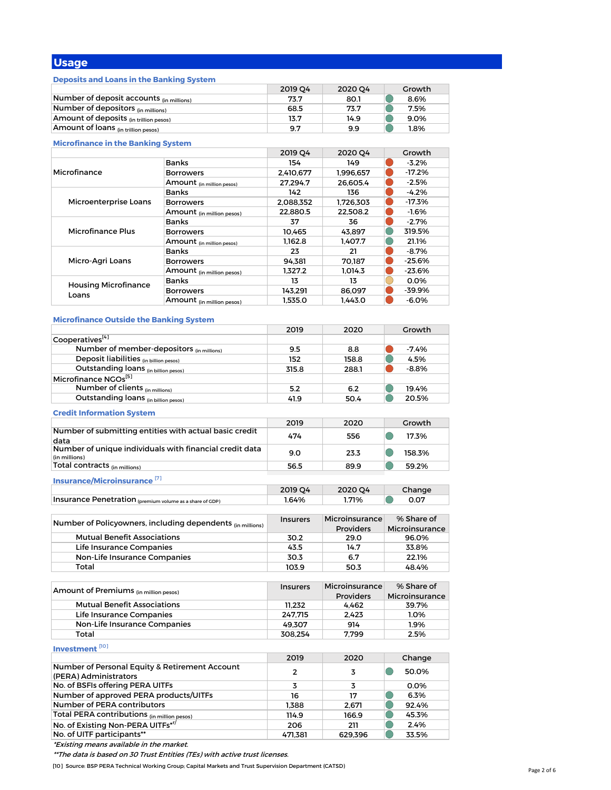# **Usage**

# **Deposits and Loans in the Banking System**

|                                          | 2019 04 | 2020 O4 | Growth |
|------------------------------------------|---------|---------|--------|
| Number of deposit accounts (in millions) | 73.7    | 80.1    | 8.6%   |
| Number of depositors (in millions)       | 68.5    | 73.7    | 7.5%   |
| Amount of deposits (in trillion pesos)   | 13.7    | 14.9    | 9.0%   |
| Amount of loans (in trillion pesos)      | 9.7     | 9.9     | $.8\%$ |

# **Microfinance in the Banking System**

|                                      |                           | 2019 04   | 2020 O4   | Growth   |
|--------------------------------------|---------------------------|-----------|-----------|----------|
| Microfinance                         | <b>Banks</b>              | 154       | 149       | $-3.2%$  |
|                                      | <b>Borrowers</b>          | 2,410,677 | 1.996.657 | $-17.2%$ |
|                                      | Amount (in million pesos) | 27.294.7  | 26.605.4  | $-2.5%$  |
|                                      | <b>Banks</b>              | 142       | 136       | $-4.2%$  |
| Microenterprise Loans                | <b>Borrowers</b>          | 2.088.352 | 1.726.303 | $-17.3%$ |
|                                      | Amount (in million pesos) | 22.880.5  | 22.508.2  | $-1.6%$  |
|                                      | <b>Banks</b>              | 37        | 36        | $-2.7%$  |
| Microfinance Plus                    | <b>Borrowers</b>          | 10.465    | 43.897    | 319.5%   |
|                                      | Amount (in million pesos) | 1.162.8   | 1.407.7   | 21.1%    |
|                                      | <b>Banks</b>              | 23        | 21        | $-8.7%$  |
| Micro-Agri Loans                     | <b>Borrowers</b>          | 94.381    | 70.187    | $-25.6%$ |
|                                      | Amount (in million pesos) | 1.327.2   | 1.014.3   | $-23.6%$ |
| <b>Housing Microfinance</b><br>Loans | <b>Banks</b>              | 13        | 13        | 0.0%     |
|                                      | <b>Borrowers</b>          | 143.291   | 86.097    | $-39.9%$ |
|                                      | Amount (in million pesos) | 1.535.0   | 1.443.0   | $-6.0%$  |

# **Microfinance Outside the Banking System**

|                                                                          | 2019            | 2020             | Growth          |
|--------------------------------------------------------------------------|-----------------|------------------|-----------------|
| Cooperatives <sup>[4]</sup>                                              |                 |                  |                 |
| Number of member-depositors (in millions)                                | 9.5             | 8.8              | $-7.4%$         |
| Deposit liabilities (in billion pesos)                                   | 152             | 158.8            | 4.5%            |
| Outstanding loans (in billion pesos)                                     | 315.8           | 288.1            | $-8.8%$         |
| Microfinance NGOs <sup>[5]</sup>                                         |                 |                  |                 |
| Number of clients (in millions)                                          | 5.2             | 6.2              | 19.4%           |
| Outstanding loans (in billion pesos)                                     | 41.9            | 50.4             | 20.5%           |
|                                                                          |                 |                  |                 |
| <b>Credit Information System</b>                                         |                 |                  |                 |
|                                                                          | 2019            | 2020             | Growth          |
| Number of submitting entities with actual basic credit                   | 474             | 556              | 17.3%<br>$(\ )$ |
| data                                                                     |                 |                  |                 |
| Number of unique individuals with financial credit data<br>(in millions) | 9.0             | 23.3             | 158.3%          |
| Total contracts (in millions)                                            | 56.5            | 89.9             | 59.2%           |
|                                                                          |                 |                  |                 |
| Insurance/Microinsurance <sup>[7]</sup>                                  |                 |                  |                 |
|                                                                          | 2019 Q4         | 2020 Q4          | Change          |
| Insurance Penetration (premium volume as a share of GDP)                 | 1.64%           | 1.71%            | 0.07            |
|                                                                          |                 |                  |                 |
| Number of Policyowners, including dependents (in millions)               | <b>Insurers</b> | Microinsurance   | % Share of      |
|                                                                          |                 | <b>Providers</b> | Microinsurance  |
| <b>Mutual Benefit Associations</b>                                       | 30.2            | 29.0             | 96.0%           |
| Life Insurance Companies                                                 | 43.5            | 14.7             | 33.8%           |
| Non-Life Insurance Companies                                             | 30.3            | 6.7              | 22.1%           |
| Total                                                                    | 103.9           | 50.3             | 48.4%           |
|                                                                          |                 |                  |                 |
| Amount of Premiums (in million pesos)                                    | <b>Insurers</b> | Microinsurance   | % Share of      |
|                                                                          |                 | <b>Providers</b> | Microinsurance  |
| <b>Mutual Benefit Associations</b>                                       | 11,232          | 4,462            | 39.7%           |
| Life Insurance Companies                                                 | 247,715         | 2.423            | 1.0%            |
| Non-Life Insurance Companies                                             | 49,307          | 914              | $1.9\%$         |
| Total                                                                    | 308,254         | 7,799            | 2.5%            |
| Investment <sup>[10]</sup>                                               |                 |                  |                 |
|                                                                          | 2019            | 2020             | Change          |
| Number of Personal Equity & Retirement Account                           | $\overline{2}$  | 3                | 50.0%<br>$(\ )$ |
| (PERA) Administrators                                                    |                 |                  |                 |
| No. of BSFIs offering PERA UITFs                                         | 3               | 3                | 0.0%            |
| Number of approved PERA products/UITFs                                   | 16              | 17               | 6.3%            |
| Number of PERA contributors                                              | 1.388           | 2,671            | 92.4%           |
| Total PERA contributions (in million pesos)                              | 114.9           | 166.9            | 45.3%           |
| No. of Existing Non-PERA UITFs* <sup>r/</sup>                            | 206             | 211              | 2.4%            |
| No. of UITF participants**                                               | 471.381         | 629,396          | 33.5%           |
|                                                                          |                 |                  |                 |

\*Existing means available in the market.

\*\*The data is based on 30 Trust Entities (TEs) with active trust licenses.

[10] Source: BSP PERA Technical Working Group; Capital Markets and Trust Supervision Department (CATSD)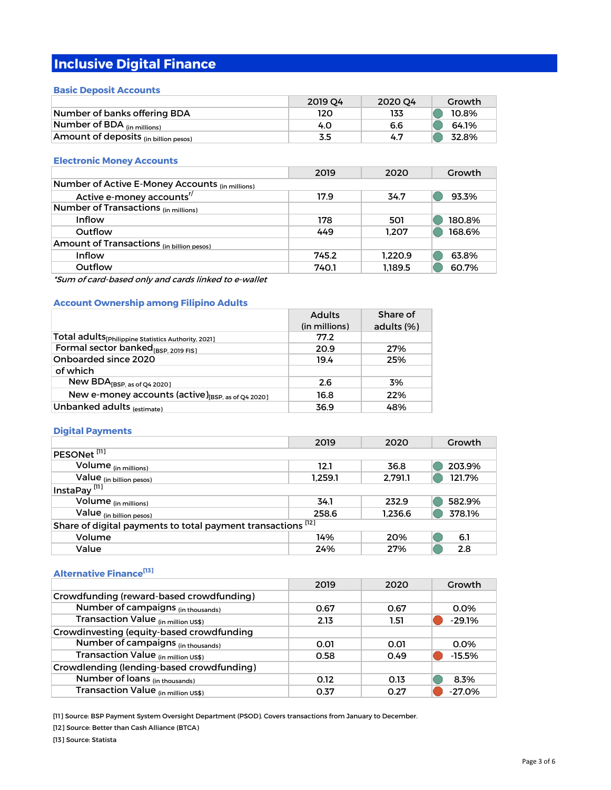# **Inclusive Digital Finance**

# **Basic Deposit Accounts**

|                                                  | 2019 04 | 2020 04 | Growth |
|--------------------------------------------------|---------|---------|--------|
| Number of banks offering BDA                     | 120     | 133     | 10.8%  |
| Number of BDA $_{(in\text{ millions})}$          | 4.O     | 6.6     | 64.1%  |
| Amount of deposits <sub>(in billion pesos)</sub> | 3.5     | 4.7     | 32.8%  |

# **Electronic Money Accounts**

|                                                            | 2019  | 2020    | Growth |
|------------------------------------------------------------|-------|---------|--------|
| Number of Active E-Money Accounts <sub>(in millions)</sub> |       |         |        |
| Active e-money accounts <sup>r/</sup>                      | 17.9  | 34.7    | 93.3%  |
| Number of Transactions (in millions)                       |       |         |        |
| Inflow                                                     | 178   | 501     | 180.8% |
| Outflow                                                    | 449   | 1.207   | 168.6% |
| Amount of Transactions (in billion pesos)                  |       |         |        |
| Inflow                                                     | 745.2 | 1.220.9 | 63.8%  |
| Outflow                                                    | 740.1 | 1.189.5 | 60.7%  |

\*Sum of card-based only and cards linked to e-wallet

# **Account Ownership among Filipino Adults**

|                                                                 | <b>Adults</b> | Share of   |
|-----------------------------------------------------------------|---------------|------------|
|                                                                 | (in millions) | adults (%) |
| Total adults <sub>[Philippine Statistics Authority, 2021]</sub> | 77.2          |            |
| Formal sector banked <sub>[BSP, 2019 FIS]</sub>                 | 20.9          | 27%        |
| Onboarded since 2020                                            | 19.4          | 25%        |
| of which                                                        |               |            |
| New $BDA_{[BSP, as of Q4 2020]}$                                | 2.6           | 3%         |
| New e-money accounts (active) <sub>[BSP, as of Q4</sub> 2020]   | 16.8          | 22%        |
| Unbanked adults (estimate)                                      | 36.9          | 48%        |

# **Digital Payments**

|                                                              | 2019    | 2020    | Growth |
|--------------------------------------------------------------|---------|---------|--------|
| PESONet <sup>[11]</sup>                                      |         |         |        |
| Volume <sub>(in millions)</sub>                              | 12.1    | 36.8    | 203.9% |
| Value (in billion pesos)                                     | 1.259.1 | 2.791.1 | 121.7% |
| InstaPay <sup>[11]</sup>                                     |         |         |        |
| Volume <sub>(in millions)</sub>                              | 34.1    | 232.9   | 582.9% |
| Value (in billion pesos)                                     | 258.6   | 1.236.6 | 378.1% |
| Share of digital payments to total payment transactions [12] |         |         |        |
| Volume                                                       | 14%     | 20%     | 6.1    |
| Value                                                        | 24%     | 27%     | 2.8    |

# **Alternative Finance[13]**

|                                           | 2019 | 2020 | Growth   |
|-------------------------------------------|------|------|----------|
| Crowdfunding (reward-based crowdfunding)  |      |      |          |
| Number of campaigns (in thousands)        | 0.67 | 0.67 | 0.0%     |
| Transaction Value (in million US\$)       | 2.13 | 1.51 | $-29.1%$ |
| Crowdinvesting (equity-based crowdfunding |      |      |          |
| Number of campaigns (in thousands)        | 0.01 | 0.01 | 0.0%     |
| Transaction Value (in million US\$)       | 0.58 | 0.49 | $-15.5%$ |
| Crowdlending (lending-based crowdfunding) |      |      |          |
| Number of loans (in thousands)            | 0.12 | 0.13 | 8.3%     |
| Transaction Value (in million US\$)       | 0.37 | O 27 | $-27.0%$ |

[11] Source: BSP Payment System Oversight Department (PSOD). Covers transactions from January to December.

[12] Source: Better than Cash Alliance (BTCA)

[13] Source: Statista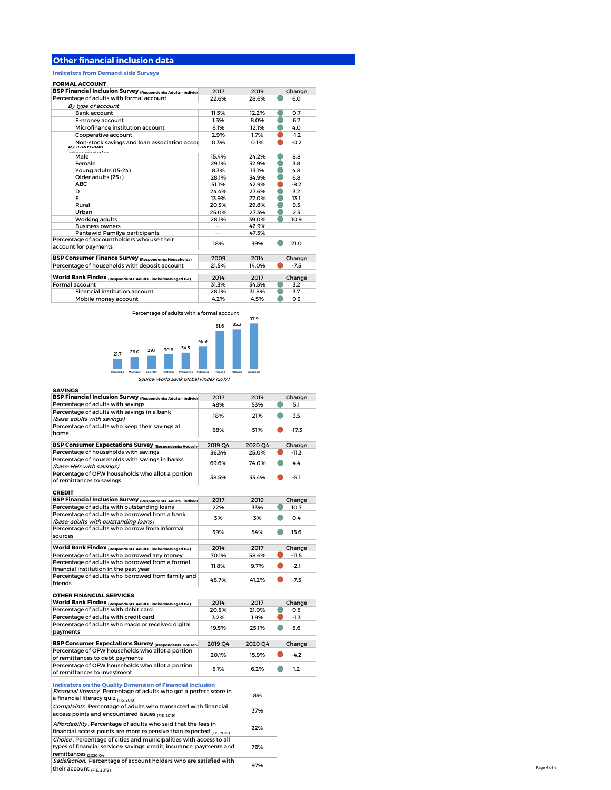# **Other financial inclusion data**

**Indicators from Demand-side Surveys**

#### **FORMAL ACCOUNT**

| <b>BSP Financial Inclusion Survey (Respondents: Adults - individe</b> | 2017  | 2019  | Change |
|-----------------------------------------------------------------------|-------|-------|--------|
| Percentage of adults with formal account                              | 22.6% | 28.6% | 6.0    |
| By type of account                                                    |       |       |        |
| <b>Bank account</b>                                                   | 11.5% | 12.2% | 0.7    |
| E-money account                                                       | 1.3%  | 8.0%  | 6.7    |
| Microfinance institution account                                      | 8.1%  | 12.1% | 4.0    |
| Cooperative account                                                   | 2.9%  | 1.7%  | $-1.2$ |
| Non-stock savings and loan association accou                          | 0.3%  | 0.1%  | $-0.2$ |
| <i><b>Dy INGIVIQUAL</b></i><br>_________                              |       |       |        |
| Male                                                                  | 15.4% | 24.2% | 8.8    |
| Female                                                                | 29.1% | 32.9% | 3.8    |
| Young adults (15-24)                                                  | 8.3%  | 13.1% | 4.8    |
| Older adults (25+)                                                    | 28.1% | 34.9% | 6.8    |
| <b>ABC</b>                                                            | 51.1% | 42.9% | $-8.2$ |
| D                                                                     | 24.4% | 27.6% | 3.2    |
| F                                                                     | 13.9% | 27.0% | 13.1   |
| Rural                                                                 | 20.3% | 29.8% | 9.5    |
| Urban                                                                 | 25.0% | 27.3% | 2.3    |
| Working adults                                                        | 28.1% | 39.0% | 10.9   |
| <b>Business owners</b>                                                |       | 42.9% |        |
| Pantawid Pamilya participants                                         |       | 47.5% |        |
| Percentage of accountholders who use their                            | 18%   | 39%   | 21.0   |
| account for payments                                                  |       |       |        |
| <b>BSP Consumer Finance Survey (Respondents: Households)</b>          | 2009  | 2014  | Change |
| Percentage of households with deposit account                         | 21.5% | 14.0% | $-7.5$ |
|                                                                       |       |       |        |
| World Bank Findex (Respondents: Adults - individuals aged 15+)        | 2014  | 2017  | Change |
| Formal account                                                        | 31.3% | 34.5% | 3.2    |
| Financial institution account                                         | 28.1% | 31.8% | 3.7    |
| Mobile money account                                                  | 4.2%  | 4.5%  | 0.3    |
|                                                                       |       |       |        |

Percentage of adults with a formal account



#### **SAVINGS**

| <b>BSP Financial Inclusion Survey (Respondents: Adults - individu</b> | 2017    | 2019    | Change       |
|-----------------------------------------------------------------------|---------|---------|--------------|
| Percentage of adults with savings                                     | 48%     | 53%     | O<br>5.1     |
| Percentage of adults with savings in a bank                           |         | 21%     | 0<br>3.5     |
| (base: adults with savings)                                           | 18%     |         |              |
| Percentage of adults who keep their savings at                        | 68%     | 51%     | 0<br>$-17.3$ |
| home                                                                  |         |         |              |
| <b>BSP Consumer Expectations Survey (Respondents: Househo</b>         | 2019 Q4 | 2020 Q4 | Change       |
| Percentage of households with savings                                 | 36.3%   | 25.0%   | $-11.3$      |
| Percentage of households with savings in banks                        |         |         |              |
| (base: HHs with savings)                                              | 69.6%   | 74.0%   | 0<br>4.4     |
| Percentage of OFW households who allot a portion                      |         |         |              |
| of remittances to savings                                             | 38.5%   | 33.4%   | 0<br>-5.1    |
| <b>CREDIT</b>                                                         |         |         |              |
| <b>BSP Financial Inclusion Survey (Respondents: Adults - individu</b> | 2017    | 2019    | Change       |
| Percentage of adults with outstanding loans                           | 22%     | 33%     | 0<br>10.7    |
| Percentage of adults who borrowed from a bank                         |         |         |              |
| (base: adults with outstanding loans)                                 | 3%      | 3%      | 0<br>0.4     |
| Percentage of adults who borrow from informal                         |         |         |              |
| sources                                                               | 39%     | 54%     | 0<br>15.6    |
|                                                                       |         |         |              |
| World Bank Findex (Respondents: Adults - individuals aged 15+)        | 2014    | 2017    | Change       |
| Percentage of adults who borrowed any money                           | 70.1%   | 58.6%   | $-11.5$      |
| Percentage of adults who borrowed from a formal                       |         |         |              |
| financial institution in the past year                                | 11.8%   | 9.7%    | O<br>$-2.1$  |
| Percentage of adults who borrowed from family and                     |         |         | O            |
| friends                                                               | 48.7%   | 41.2%   | $-7.5$       |
| <b>OTHER FINANCIAL SERVICES</b>                                       |         |         |              |
| World Bank Findex (Respondents: Adults - individuals aged 15+)        | 2014    | 2017    | Change       |
| Percentage of adults with debit card                                  | 20.5%   | 21.0%   | 0.5<br>O     |
| Percentage of adults with credit card                                 | 3.2%    | 1.9%    | $-1.3$<br>o. |
| Percentage of adults who made or received digital                     |         |         |              |
| payments                                                              | 19.5%   | 25.1%   | 0<br>5.6     |
|                                                                       |         |         |              |
| <b>BSP Consumer Expectations Survey (Respondents: Househo</b>         | 2019 Q4 | 2020 Q4 | Change       |
| Percentage of OFW households who allot a portion                      | 20.1%   | 15.9%   | O<br>$-4.2$  |
| of remittances to debt payments                                       |         |         |              |
| Percentage of OFW households who allot a portion                      | 5.1%    | 6.2%    | ●<br>1.2     |
| of remittances to investment                                          |         |         |              |
| <b>Indicators on the Quality Dimension of Financial Inclusion</b>     |         |         |              |
| Financial literacy. Percentage of adults who got a perfect score in   |         | 8%      |              |
| a financial literacy quiz (FIS, 2019)                                 |         |         |              |
| Complaints. Percentage of adults who transacted with financial        |         |         |              |
| access points and encountered issues (FIS. 2019)                      |         | 37%     |              |
| Affordability. Percentage of adults who said that the fees in         |         |         |              |
| financial access points are more expensive than expected (FIS. 2019)  |         | 22%     |              |
| Choice. Percentage of cities and municipalities with access to all    |         |         |              |
| types of financial services: savings, credit, insurance, payments and |         |         |              |
|                                                                       |         | 76%     |              |

remittances <sub>(2020 Q4)</sub><br>*Satisfaction.* Percentage of account holders who are satisfied with

their account (FIS, 2019)

97%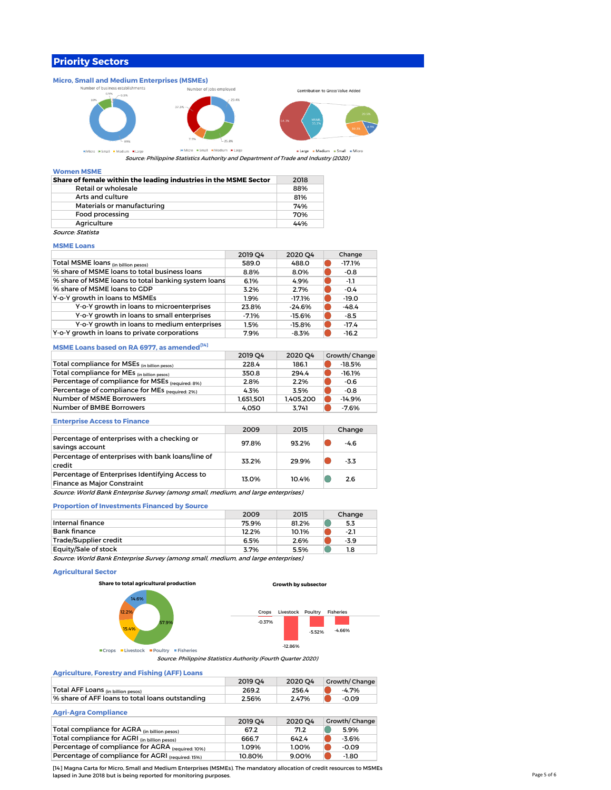# **Priority Sectors**



Source: Philippine Statistics Authority and Department of Trade and Industry (2020)

#### **Women MSME**

| Share of female within the leading industries in the MSME Sector | 2018 |
|------------------------------------------------------------------|------|
| Retail or wholesale                                              | 88%  |
| Arts and culture                                                 | 81%  |
| Materials or manufacturing                                       | 74%  |
| Food processing                                                  | 70%  |
| Agriculture                                                      | 44%  |
| Source: Statista                                                 |      |

# **MSME Loans**

|                                                     | 2019 O4 | 2020 Q4  | Change   |
|-----------------------------------------------------|---------|----------|----------|
| Total MSME loans (in billion pesos)                 | 589.0   | 488.0    | $-17.1%$ |
| % share of MSME loans to total business loans       | 8.8%    | 8.0%     | $-0.8$   |
| % share of MSME loans to total banking system loans | 6.1%    | 4.9%     | -1.1     |
| % share of MSME loans to GDP                        | 3.2%    | 2.7%     | $-0.4$   |
| Y-o-Y growth in loans to MSMEs                      | 1.9%    | $-17.1%$ | $-19.0$  |
| Y-o-Y growth in loans to microenterprises           | 23.8%   | $-24.6%$ | $-48.4$  |
| Y-o-Y growth in loans to small enterprises          | $-7.1%$ | $-15.6%$ | $-8.5$   |
| Y-o-Y growth in loans to medium enterprises         | 1.5%    | $-15.8%$ | $-17.4$  |
| Y-o-Y growth in loans to private corporations       | 7.9%    | $-8.3%$  | $-16.2$  |

## **MSME Loans based on RA 6977, as amended**<sup>[14]</sup>

|                                                  | 2019 04   | 2020 O4   | Growth/Change |
|--------------------------------------------------|-----------|-----------|---------------|
| Total compliance for MSEs (in billion pesos)     | 228.4     | 186.1     | $-18.5%$      |
| Total compliance for MEs (in billion pesos)      | 350.8     | 294.4     | $-16.1%$      |
| Percentage of compliance for MSEs (required: 8%) | 2.8%      | 2.2%      | $-0.6$        |
| Percentage of compliance for MEs (required: 2%)  | 4.3%      | 3.5%      | -0.8          |
| Number of MSME Borrowers                         | 1.651.501 | 1.405.200 | $-14.9%$      |
| Number of BMBE Borrowers                         | 4.050     | 3.741     | $-7.6%$       |

#### **Enterprise Access to Finance**

|                                                                                       | 2009  | 2015  | Change |
|---------------------------------------------------------------------------------------|-------|-------|--------|
| Percentage of enterprises with a checking or<br>savings account                       | 97.8% | 93.2% | $-4.6$ |
| Percentage of enterprises with bank loans/line of<br>credit                           | 33.2% | 29.9% | $-3.3$ |
| Percentage of Enterprises Identifying Access to<br><b>Finance as Major Constraint</b> | 13.0% | 10.4% | 2.6    |
| Source: World Bank Enterprise Survey (among small, medium, and large enterprises)     |       |       |        |

# **Proportion of Investments Financed by Source**

|                                                                                   | 2009  | 2015  | Change |
|-----------------------------------------------------------------------------------|-------|-------|--------|
| Internal finance                                                                  | 75.9% | 81.2% | 5.3    |
| <b>Bank finance</b>                                                               | 12.2% | 10.1% | $-2.1$ |
| Trade/Supplier credit                                                             | 6.5%  | 2.6%  | $-3.9$ |
| Equity/Sale of stock                                                              | 3.7%  | 5.5%  | 1.8    |
| Source: World Bank Enterprise Survey (among small, medium, and large enterprises) |       |       |        |

## **Agricultural Sector**

**Share to total agricultural production**







**ECrops ELivestock EPoultry EFisheries** 

Source: Philippine Statistics Authority (Fourth Quarter 2020)

### **Agriculture, Forestry and Fishing (AFF) Loans**

| <b>Agriculture, I greatly unit Family (ALL) Equili</b> |         |         |                      |
|--------------------------------------------------------|---------|---------|----------------------|
|                                                        | 2019 04 | 2020 O4 | <b>Growth/Change</b> |
| Total AFF Loans <sub>(in billion pesos)</sub>          | 269.2   | 256.4   | $-4.7%$              |
| % share of AFF loans to total loans outstanding        | 2.56%   | 2.47%   | $-0.09$              |
|                                                        |         |         |                      |

# **Agri-Agra Compliance**

|                                                   | 2019 04 | 2020 04 | Growth/Change |
|---------------------------------------------------|---------|---------|---------------|
| Total compliance for AGRA (in billion pesos)      | 67.2    | 71.2    | 5.9%          |
| Total compliance for AGRI (in billion pesos)      | 666.7   | 642.4   | $-3.6%$       |
| Percentage of compliance for AGRA (required: 10%) | 1.09%   | 1.00%   | $-0.09$       |
| Percentage of compliance for AGRI (required: 15%) | 10.80%  | 9.00%   | $-1.80$       |

[14] Magna Carta for Micro, Small and Medium Enterprises (MSMEs). The mandatory allocation of credit resources to MSMEs lapsed in June 2018 but is being reported for monitoring purposes.